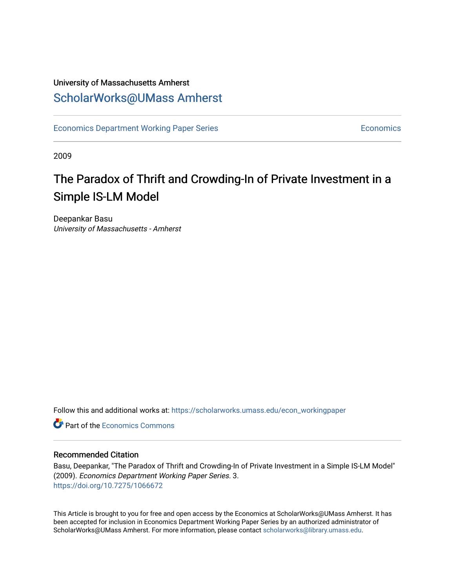## University of Massachusetts Amherst [ScholarWorks@UMass Amherst](https://scholarworks.umass.edu/)

[Economics Department Working Paper Series](https://scholarworks.umass.edu/econ_workingpaper) **Economics** Economics

2009

## The Paradox of Thrift and Crowding-In of Private Investment in a Simple IS-LM Model

Deepankar Basu University of Massachusetts - Amherst

Follow this and additional works at: [https://scholarworks.umass.edu/econ\\_workingpaper](https://scholarworks.umass.edu/econ_workingpaper?utm_source=scholarworks.umass.edu%2Fecon_workingpaper%2F3&utm_medium=PDF&utm_campaign=PDFCoverPages) 

**C** Part of the [Economics Commons](http://network.bepress.com/hgg/discipline/340?utm_source=scholarworks.umass.edu%2Fecon_workingpaper%2F3&utm_medium=PDF&utm_campaign=PDFCoverPages)

#### Recommended Citation

Basu, Deepankar, "The Paradox of Thrift and Crowding-In of Private Investment in a Simple IS-LM Model" (2009). Economics Department Working Paper Series. 3. <https://doi.org/10.7275/1066672>

This Article is brought to you for free and open access by the Economics at ScholarWorks@UMass Amherst. It has been accepted for inclusion in Economics Department Working Paper Series by an authorized administrator of ScholarWorks@UMass Amherst. For more information, please contact [scholarworks@library.umass.edu.](mailto:scholarworks@library.umass.edu)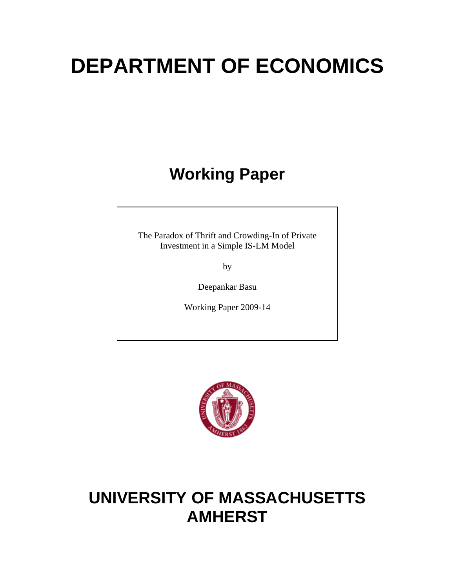# **DEPARTMENT OF ECONOMICS**

## **Working Paper**

The Paradox of Thrift and Crowding-In of Private Investment in a Simple IS-LM Model

by

Deepankar Basu

Working Paper 2009-14



## **UNIVERSITY OF MASSACHUSETTS AMHERST**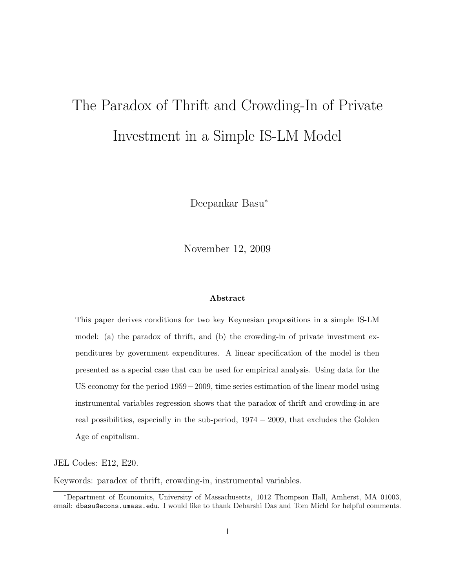# The Paradox of Thrift and Crowding-In of Private Investment in a Simple IS-LM Model

Deepankar Basu<sup>∗</sup>

November 12, 2009

#### Abstract

This paper derives conditions for two key Keynesian propositions in a simple IS-LM model: (a) the paradox of thrift, and (b) the crowding-in of private investment expenditures by government expenditures. A linear specification of the model is then presented as a special case that can be used for empirical analysis. Using data for the US economy for the period 1959−2009, time series estimation of the linear model using instrumental variables regression shows that the paradox of thrift and crowding-in are real possibilities, especially in the sub-period, 1974 − 2009, that excludes the Golden Age of capitalism.

JEL Codes: E12, E20.

Keywords: paradox of thrift, crowding-in, instrumental variables.

<sup>∗</sup>Department of Economics, University of Massachusetts, 1012 Thompson Hall, Amherst, MA 01003, email: dbasu@econs.umass.edu. I would like to thank Debarshi Das and Tom Michl for helpful comments.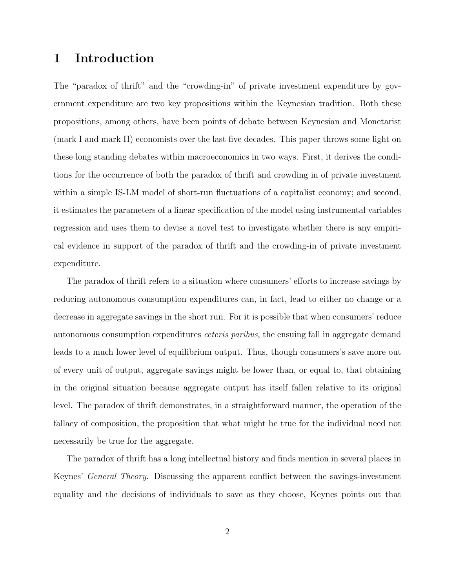## 1 Introduction

The "paradox of thrift" and the "crowding-in" of private investment expenditure by government expenditure are two key propositions within the Keynesian tradition. Both these propositions, among others, have been points of debate between Keynesian and Monetarist (mark I and mark II) economists over the last five decades. This paper throws some light on these long standing debates within macroeconomics in two ways. First, it derives the conditions for the occurrence of both the paradox of thrift and crowding in of private investment within a simple IS-LM model of short-run fluctuations of a capitalist economy; and second, it estimates the parameters of a linear specification of the model using instrumental variables regression and uses them to devise a novel test to investigate whether there is any empirical evidence in support of the paradox of thrift and the crowding-in of private investment expenditure.

The paradox of thrift refers to a situation where consumers' efforts to increase savings by reducing autonomous consumption expenditures can, in fact, lead to either no change or a decrease in aggregate savings in the short run. For it is possible that when consumers' reduce autonomous consumption expenditures ceteris paribus, the ensuing fall in aggregate demand leads to a much lower level of equilibrium output. Thus, though consumers's save more out of every unit of output, aggregate savings might be lower than, or equal to, that obtaining in the original situation because aggregate output has itself fallen relative to its original level. The paradox of thrift demonstrates, in a straightforward manner, the operation of the fallacy of composition, the proposition that what might be true for the individual need not necessarily be true for the aggregate.

The paradox of thrift has a long intellectual history and finds mention in several places in Keynes' General Theory. Discussing the apparent conflict between the savings-investment equality and the decisions of individuals to save as they choose, Keynes points out that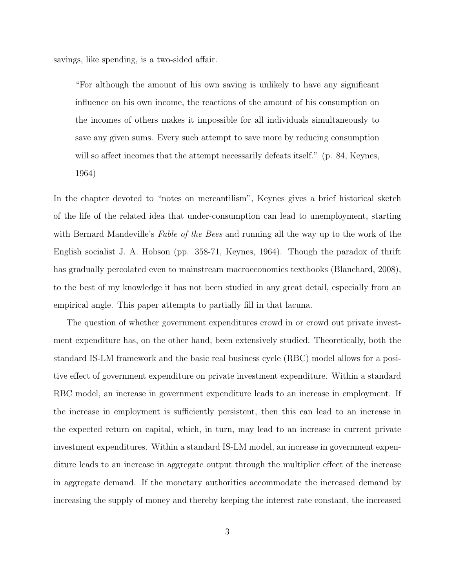savings, like spending, is a two-sided affair.

"For although the amount of his own saving is unlikely to have any significant influence on his own income, the reactions of the amount of his consumption on the incomes of others makes it impossible for all individuals simultaneously to save any given sums. Every such attempt to save more by reducing consumption will so affect incomes that the attempt necessarily defeats itself." (p. 84, Keynes, 1964)

In the chapter devoted to "notes on mercantilism", Keynes gives a brief historical sketch of the life of the related idea that under-consumption can lead to unemployment, starting with Bernard Mandeville's *Fable of the Bees* and running all the way up to the work of the English socialist J. A. Hobson (pp. 358-71, Keynes, 1964). Though the paradox of thrift has gradually percolated even to mainstream macroeconomics textbooks (Blanchard, 2008), to the best of my knowledge it has not been studied in any great detail, especially from an empirical angle. This paper attempts to partially fill in that lacuna.

The question of whether government expenditures crowd in or crowd out private investment expenditure has, on the other hand, been extensively studied. Theoretically, both the standard IS-LM framework and the basic real business cycle (RBC) model allows for a positive effect of government expenditure on private investment expenditure. Within a standard RBC model, an increase in government expenditure leads to an increase in employment. If the increase in employment is sufficiently persistent, then this can lead to an increase in the expected return on capital, which, in turn, may lead to an increase in current private investment expenditures. Within a standard IS-LM model, an increase in government expenditure leads to an increase in aggregate output through the multiplier effect of the increase in aggregate demand. If the monetary authorities accommodate the increased demand by increasing the supply of money and thereby keeping the interest rate constant, the increased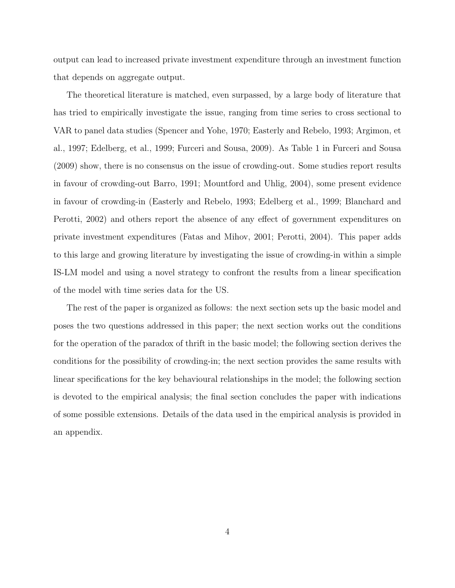output can lead to increased private investment expenditure through an investment function that depends on aggregate output.

The theoretical literature is matched, even surpassed, by a large body of literature that has tried to empirically investigate the issue, ranging from time series to cross sectional to VAR to panel data studies (Spencer and Yohe, 1970; Easterly and Rebelo, 1993; Argimon, et al., 1997; Edelberg, et al., 1999; Furceri and Sousa, 2009). As Table 1 in Furceri and Sousa (2009) show, there is no consensus on the issue of crowding-out. Some studies report results in favour of crowding-out Barro, 1991; Mountford and Uhlig, 2004), some present evidence in favour of crowding-in (Easterly and Rebelo, 1993; Edelberg et al., 1999; Blanchard and Perotti, 2002) and others report the absence of any effect of government expenditures on private investment expenditures (Fatas and Mihov, 2001; Perotti, 2004). This paper adds to this large and growing literature by investigating the issue of crowding-in within a simple IS-LM model and using a novel strategy to confront the results from a linear specification of the model with time series data for the US.

The rest of the paper is organized as follows: the next section sets up the basic model and poses the two questions addressed in this paper; the next section works out the conditions for the operation of the paradox of thrift in the basic model; the following section derives the conditions for the possibility of crowding-in; the next section provides the same results with linear specifications for the key behavioural relationships in the model; the following section is devoted to the empirical analysis; the final section concludes the paper with indications of some possible extensions. Details of the data used in the empirical analysis is provided in an appendix.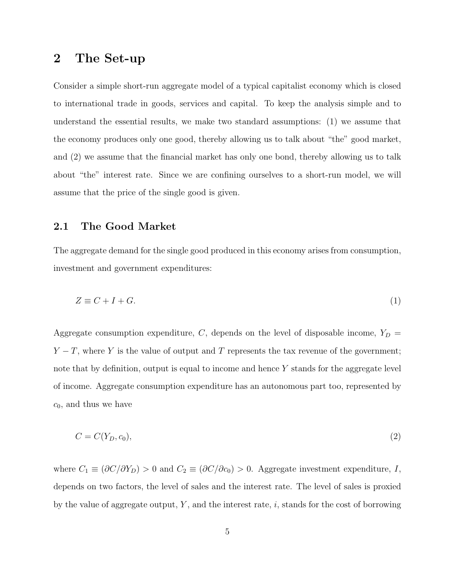## 2 The Set-up

Consider a simple short-run aggregate model of a typical capitalist economy which is closed to international trade in goods, services and capital. To keep the analysis simple and to understand the essential results, we make two standard assumptions: (1) we assume that the economy produces only one good, thereby allowing us to talk about "the" good market, and (2) we assume that the financial market has only one bond, thereby allowing us to talk about "the" interest rate. Since we are confining ourselves to a short-run model, we will assume that the price of the single good is given.

#### 2.1 The Good Market

The aggregate demand for the single good produced in this economy arises from consumption, investment and government expenditures:

$$
Z \equiv C + I + G.\tag{1}
$$

Aggregate consumption expenditure,  $C$ , depends on the level of disposable income,  $Y_D =$  $Y - T$ , where Y is the value of output and T represents the tax revenue of the government; note that by definition, output is equal to income and hence  $Y$  stands for the aggregate level of income. Aggregate consumption expenditure has an autonomous part too, represented by  $c_0$ , and thus we have

$$
C = C(Y_D, c_0),\tag{2}
$$

where  $C_1 \equiv (\partial C/\partial Y_D) > 0$  and  $C_2 \equiv (\partial C/\partial c_0) > 0$ . Aggregate investment expenditure, I, depends on two factors, the level of sales and the interest rate. The level of sales is proxied by the value of aggregate output,  $Y$ , and the interest rate,  $i$ , stands for the cost of borrowing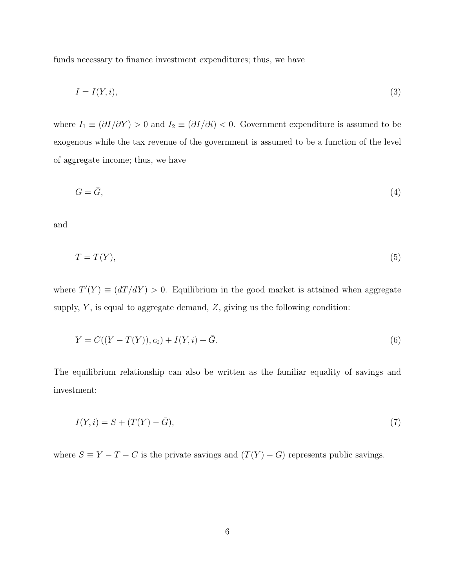funds necessary to finance investment expenditures; thus, we have

$$
I = I(Y, i),\tag{3}
$$

where  $I_1 \equiv (\partial I/\partial Y) > 0$  and  $I_2 \equiv (\partial I/\partial i) < 0$ . Government expenditure is assumed to be exogenous while the tax revenue of the government is assumed to be a function of the level of aggregate income; thus, we have

$$
G = \bar{G},\tag{4}
$$

and

$$
T = T(Y),\tag{5}
$$

where  $T'(Y) \equiv (dT/dY) > 0$ . Equilibrium in the good market is attained when aggregate supply,  $Y$ , is equal to aggregate demand,  $Z$ , giving us the following condition:

$$
Y = C((Y - T(Y)), c_0) + I(Y, i) + \bar{G}.
$$
\n(6)

The equilibrium relationship can also be written as the familiar equality of savings and investment:

$$
I(Y,i) = S + (T(Y) - \bar{G}),\tag{7}
$$

where  $S \equiv Y - T - C$  is the private savings and  $(T(Y) - G)$  represents public savings.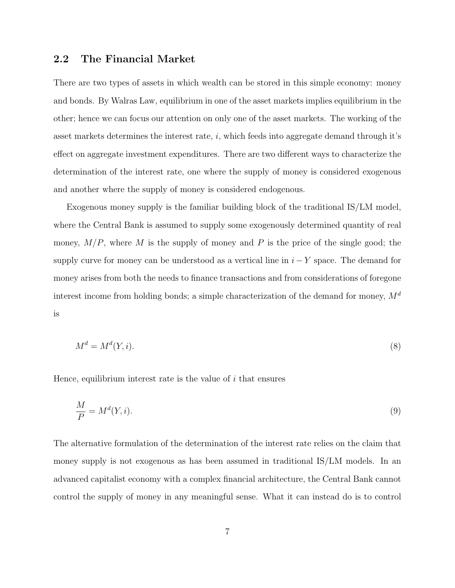#### 2.2 The Financial Market

There are two types of assets in which wealth can be stored in this simple economy: money and bonds. By Walras Law, equilibrium in one of the asset markets implies equilibrium in the other; hence we can focus our attention on only one of the asset markets. The working of the asset markets determines the interest rate,  $i$ , which feeds into aggregate demand through it's effect on aggregate investment expenditures. There are two different ways to characterize the determination of the interest rate, one where the supply of money is considered exogenous and another where the supply of money is considered endogenous.

Exogenous money supply is the familiar building block of the traditional IS/LM model, where the Central Bank is assumed to supply some exogenously determined quantity of real money,  $M/P$ , where M is the supply of money and P is the price of the single good; the supply curve for money can be understood as a vertical line in  $i - Y$  space. The demand for money arises from both the needs to finance transactions and from considerations of foregone interest income from holding bonds; a simple characterization of the demand for money,  $M^d$ is

$$
M^d = M^d(Y, i). \tag{8}
$$

Hence, equilibrium interest rate is the value of  $i$  that ensures

$$
\frac{M}{P} = M^d(Y, i). \tag{9}
$$

The alternative formulation of the determination of the interest rate relies on the claim that money supply is not exogenous as has been assumed in traditional IS/LM models. In an advanced capitalist economy with a complex financial architecture, the Central Bank cannot control the supply of money in any meaningful sense. What it can instead do is to control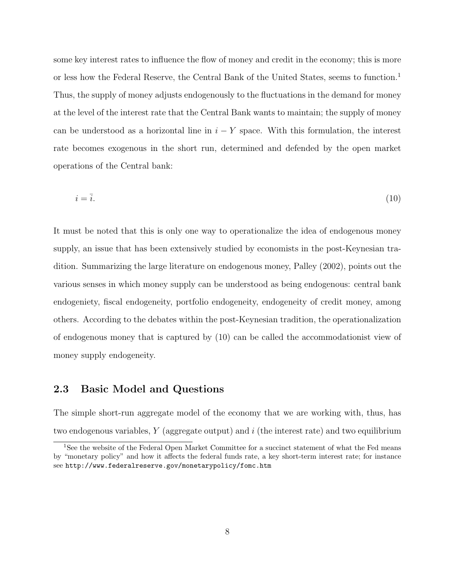some key interest rates to influence the flow of money and credit in the economy; this is more or less how the Federal Reserve, the Central Bank of the United States, seems to function.<sup>1</sup> Thus, the supply of money adjusts endogenously to the fluctuations in the demand for money at the level of the interest rate that the Central Bank wants to maintain; the supply of money can be understood as a horizontal line in  $i - Y$  space. With this formulation, the interest rate becomes exogenous in the short run, determined and defended by the open market operations of the Central bank:

$$
i = \overline{i}.\tag{10}
$$

It must be noted that this is only one way to operationalize the idea of endogenous money supply, an issue that has been extensively studied by economists in the post-Keynesian tradition. Summarizing the large literature on endogenous money, Palley (2002), points out the various senses in which money supply can be understood as being endogenous: central bank endogeniety, fiscal endogeneity, portfolio endogeneity, endogeneity of credit money, among others. According to the debates within the post-Keynesian tradition, the operationalization of endogenous money that is captured by (10) can be called the accommodationist view of money supply endogeneity.

### 2.3 Basic Model and Questions

The simple short-run aggregate model of the economy that we are working with, thus, has two endogenous variables,  $Y$  (aggregate output) and  $i$  (the interest rate) and two equilibrium

<sup>&</sup>lt;sup>1</sup>See the website of the Federal Open Market Committee for a succinct statement of what the Fed means by "monetary policy" and how it affects the federal funds rate, a key short-term interest rate; for instance see http://www.federalreserve.gov/monetarypolicy/fomc.htm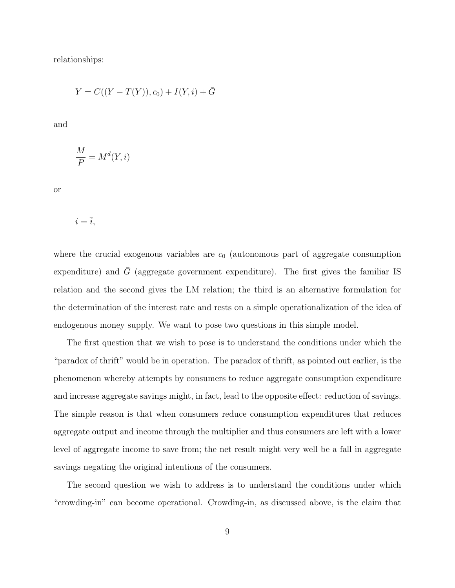relationships:

$$
Y = C((Y - T(Y)), c_0) + I(Y, i) + \bar{G}
$$

and

$$
\frac{M}{P} = M^d(Y, i)
$$

or

$$
i=\overline{i},
$$

where the crucial exogenous variables are  $c_0$  (autonomous part of aggregate consumption expenditure) and  $\bar{G}$  (aggregate government expenditure). The first gives the familiar IS relation and the second gives the LM relation; the third is an alternative formulation for the determination of the interest rate and rests on a simple operationalization of the idea of endogenous money supply. We want to pose two questions in this simple model.

The first question that we wish to pose is to understand the conditions under which the "paradox of thrift" would be in operation. The paradox of thrift, as pointed out earlier, is the phenomenon whereby attempts by consumers to reduce aggregate consumption expenditure and increase aggregate savings might, in fact, lead to the opposite effect: reduction of savings. The simple reason is that when consumers reduce consumption expenditures that reduces aggregate output and income through the multiplier and thus consumers are left with a lower level of aggregate income to save from; the net result might very well be a fall in aggregate savings negating the original intentions of the consumers.

The second question we wish to address is to understand the conditions under which "crowding-in" can become operational. Crowding-in, as discussed above, is the claim that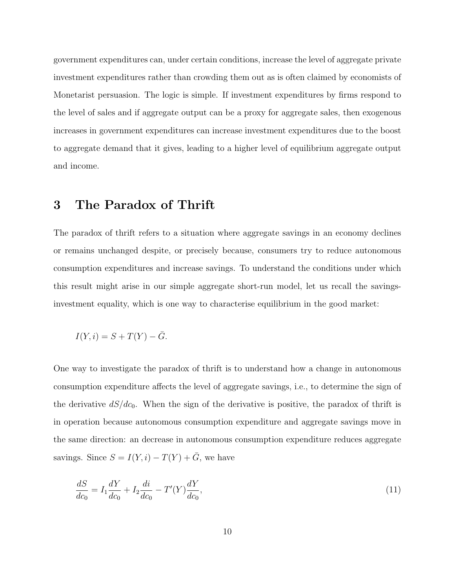government expenditures can, under certain conditions, increase the level of aggregate private investment expenditures rather than crowding them out as is often claimed by economists of Monetarist persuasion. The logic is simple. If investment expenditures by firms respond to the level of sales and if aggregate output can be a proxy for aggregate sales, then exogenous increases in government expenditures can increase investment expenditures due to the boost to aggregate demand that it gives, leading to a higher level of equilibrium aggregate output and income.

## 3 The Paradox of Thrift

The paradox of thrift refers to a situation where aggregate savings in an economy declines or remains unchanged despite, or precisely because, consumers try to reduce autonomous consumption expenditures and increase savings. To understand the conditions under which this result might arise in our simple aggregate short-run model, let us recall the savingsinvestment equality, which is one way to characterise equilibrium in the good market:

$$
I(Y,i) = S + T(Y) - \overline{G}.
$$

One way to investigate the paradox of thrift is to understand how a change in autonomous consumption expenditure affects the level of aggregate savings, i.e., to determine the sign of the derivative  $dS/dc_0$ . When the sign of the derivative is positive, the paradox of thrift is in operation because autonomous consumption expenditure and aggregate savings move in the same direction: an decrease in autonomous consumption expenditure reduces aggregate savings. Since  $S = I(Y, i) - T(Y) + \overline{G}$ , we have

$$
\frac{dS}{dc_0} = I_1 \frac{dY}{dc_0} + I_2 \frac{di}{dc_0} - T'(Y) \frac{dY}{dc_0},\tag{11}
$$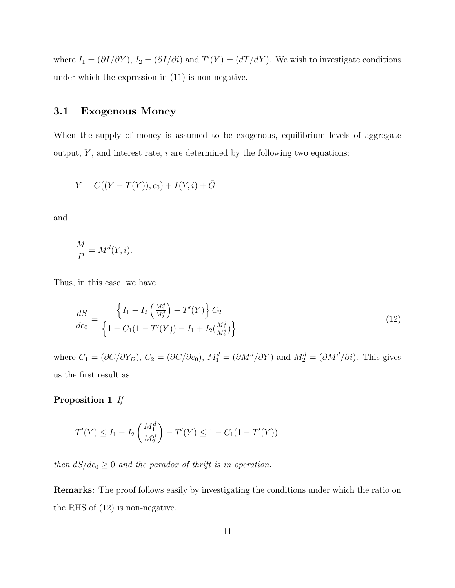where  $I_1 = (\partial I/\partial Y)$ ,  $I_2 = (\partial I/\partial i)$  and  $T'(Y) = (dT/dY)$ . We wish to investigate conditions under which the expression in (11) is non-negative.

### 3.1 Exogenous Money

When the supply of money is assumed to be exogenous, equilibrium levels of aggregate output,  $Y$ , and interest rate,  $i$  are determined by the following two equations:

$$
Y = C((Y - T(Y)), c_0) + I(Y, i) + \bar{G}
$$

and

$$
\frac{M}{P} = M^d(Y, i).
$$

Thus, in this case, we have

$$
\frac{dS}{dc_0} = \frac{\left\{I_1 - I_2 \left(\frac{M_1^d}{M_2^d}\right) - T'(Y)\right\} C_2}{\left\{1 - C_1 (1 - T'(Y)) - I_1 + I_2 \left(\frac{M_1^d}{M_2^d}\right)\right\}}
$$
(12)

where  $C_1 = (\partial C/\partial Y_D)$ ,  $C_2 = (\partial C/\partial c_0)$ ,  $M_1^d = (\partial M^d/\partial Y)$  and  $M_2^d = (\partial M^d/\partial i)$ . This gives us the first result as

#### Proposition 1 If

$$
T'(Y) \le I_1 - I_2\left(\frac{M_1^d}{M_2^d}\right) - T'(Y) \le 1 - C_1(1 - T'(Y))
$$

then  $dS/dc_0 \geq 0$  and the paradox of thrift is in operation.

Remarks: The proof follows easily by investigating the conditions under which the ratio on the RHS of (12) is non-negative.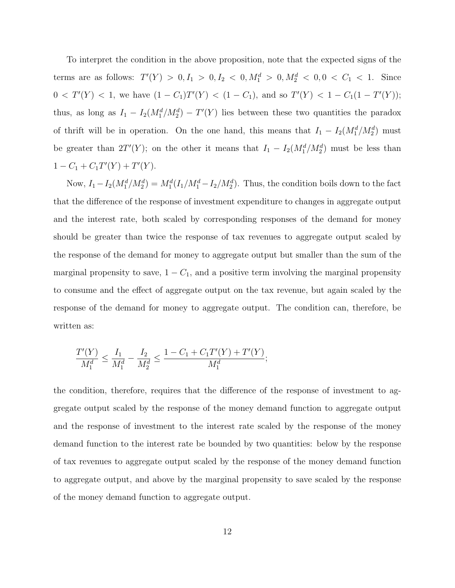To interpret the condition in the above proposition, note that the expected signs of the terms are as follows:  $T'(Y) > 0, I_1 > 0, I_2 < 0, M_1^d > 0, M_2^d < 0, 0 < C_1 < 1$ . Since  $0 < T'(Y) < 1$ , we have  $(1 - C_1)T'(Y) < (1 - C_1)$ , and so  $T'(Y) < 1 - C_1(1 - T'(Y))$ ; thus, as long as  $I_1 - I_2(M_1^d/M_2^d) - T'(Y)$  lies between these two quantities the paradox of thrift will be in operation. On the one hand, this means that  $I_1 - I_2(M_1^d/M_2^d)$  must be greater than  $2T'(Y)$ ; on the other it means that  $I_1 - I_2(M_1^d/M_2^d)$  must be less than  $1 - C_1 + C_1T'(Y) + T'(Y).$ 

Now,  $I_1 - I_2(M_1^d/M_2^d) = M_1^d(I_1/M_1^d - I_2/M_2^d)$ . Thus, the condition boils down to the fact that the difference of the response of investment expenditure to changes in aggregate output and the interest rate, both scaled by corresponding responses of the demand for money should be greater than twice the response of tax revenues to aggregate output scaled by the response of the demand for money to aggregate output but smaller than the sum of the marginal propensity to save,  $1 - C_1$ , and a positive term involving the marginal propensity to consume and the effect of aggregate output on the tax revenue, but again scaled by the response of the demand for money to aggregate output. The condition can, therefore, be written as:

$$
\frac{T'(Y)}{M_1^d} \le \frac{I_1}{M_1^d} - \frac{I_2}{M_2^d} \le \frac{1 - C_1 + C_1 T'(Y) + T'(Y)}{M_1^d};
$$

the condition, therefore, requires that the difference of the response of investment to aggregate output scaled by the response of the money demand function to aggregate output and the response of investment to the interest rate scaled by the response of the money demand function to the interest rate be bounded by two quantities: below by the response of tax revenues to aggregate output scaled by the response of the money demand function to aggregate output, and above by the marginal propensity to save scaled by the response of the money demand function to aggregate output.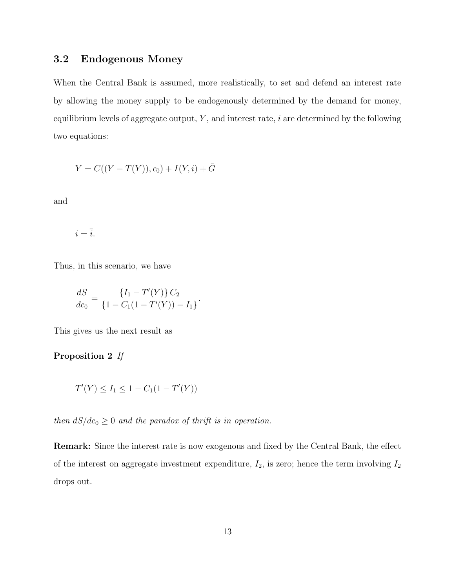## 3.2 Endogenous Money

When the Central Bank is assumed, more realistically, to set and defend an interest rate by allowing the money supply to be endogenously determined by the demand for money, equilibrium levels of aggregate output,  $Y$ , and interest rate,  $i$  are determined by the following two equations:

$$
Y = C((Y - T(Y)), c_0) + I(Y, i) + \bar{G}
$$

and

 $i=\bar{i}.$ 

Thus, in this scenario, we have

$$
\frac{dS}{dc_0} = \frac{\{I_1 - T'(Y)\} C_2}{\{1 - C_1(1 - T'(Y)) - I_1\}}.
$$

This gives us the next result as

### Proposition 2 If

$$
T'(Y) \le I_1 \le 1 - C_1(1 - T'(Y))
$$

then  $dS/dc_0 \geq 0$  and the paradox of thrift is in operation.

Remark: Since the interest rate is now exogenous and fixed by the Central Bank, the effect of the interest on aggregate investment expenditure,  $I_2$ , is zero; hence the term involving  $I_2$ drops out.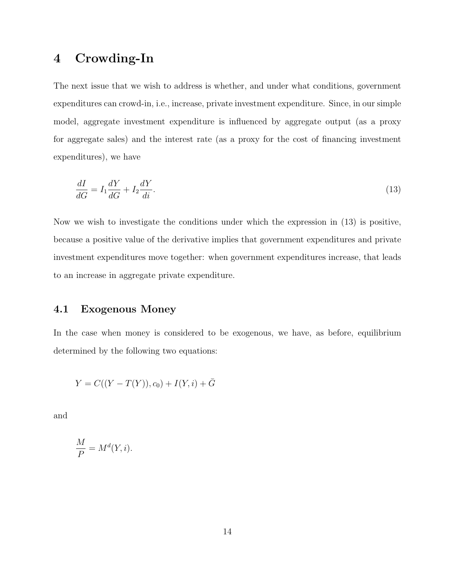## 4 Crowding-In

The next issue that we wish to address is whether, and under what conditions, government expenditures can crowd-in, i.e., increase, private investment expenditure. Since, in our simple model, aggregate investment expenditure is influenced by aggregate output (as a proxy for aggregate sales) and the interest rate (as a proxy for the cost of financing investment expenditures), we have

$$
\frac{dI}{dG} = I_1 \frac{dY}{dG} + I_2 \frac{dY}{di}.\tag{13}
$$

Now we wish to investigate the conditions under which the expression in (13) is positive, because a positive value of the derivative implies that government expenditures and private investment expenditures move together: when government expenditures increase, that leads to an increase in aggregate private expenditure.

### 4.1 Exogenous Money

In the case when money is considered to be exogenous, we have, as before, equilibrium determined by the following two equations:

$$
Y = C((Y - T(Y)), c_0) + I(Y, i) + \bar{G}
$$

and

$$
\frac{M}{P} = M^d(Y, i).
$$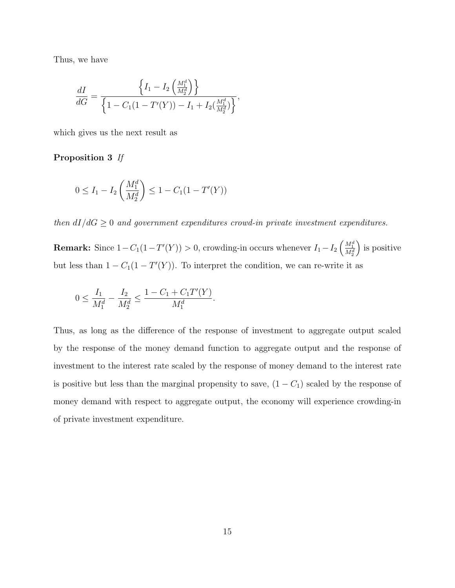Thus, we have

$$
\frac{dI}{dG} = \frac{\left\{I_1 - I_2\left(\frac{M_1^d}{M_2^d}\right)\right\}}{\left\{1 - C_1(1 - T'(Y)) - I_1 + I_2\left(\frac{M_1^d}{M_2^d}\right)\right\}},
$$

which gives us the next result as

#### Proposition 3 If

$$
0 \le I_1 - I_2\left(\frac{M_1^d}{M_2^d}\right) \le 1 - C_1(1 - T'(Y))
$$

then  $dI/dG \geq 0$  and government expenditures crowd-in private investment expenditures.

**Remark:** Since  $1 - C_1(1 - T'(Y)) > 0$ , crowding-in occurs whenever  $I_1 - I_2 \left( \frac{M_1^d}{M_2^d} \right)$  is positive but less than  $1 - C_1(1 - T'(Y))$ . To interpret the condition, we can re-write it as

$$
0 \le \frac{I_1}{M_1^d} - \frac{I_2}{M_2^d} \le \frac{1 - C_1 + C_1 T'(Y)}{M_1^d}.
$$

Thus, as long as the difference of the response of investment to aggregate output scaled by the response of the money demand function to aggregate output and the response of investment to the interest rate scaled by the response of money demand to the interest rate is positive but less than the marginal propensity to save,  $(1 - C_1)$  scaled by the response of money demand with respect to aggregate output, the economy will experience crowding-in of private investment expenditure.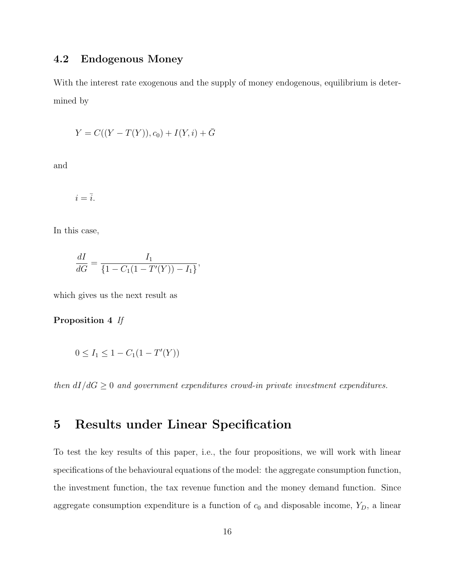## 4.2 Endogenous Money

With the interest rate exogenous and the supply of money endogenous, equilibrium is determined by

$$
Y = C((Y - T(Y)), c_0) + I(Y, i) + \bar{G}
$$

and

 $i = \overline{i}$ .

In this case,

$$
\frac{dI}{dG} = \frac{I_1}{\{1 - C_1(1 - T'(Y)) - I_1\}},
$$

which gives us the next result as

Proposition 4 If

$$
0 \le I_1 \le 1 - C_1(1 - T'(Y))
$$

then  $dI/dG \geq 0$  and government expenditures crowd-in private investment expenditures.

## 5 Results under Linear Specification

To test the key results of this paper, i.e., the four propositions, we will work with linear specifications of the behavioural equations of the model: the aggregate consumption function, the investment function, the tax revenue function and the money demand function. Since aggregate consumption expenditure is a function of  $c_0$  and disposable income,  $Y_D$ , a linear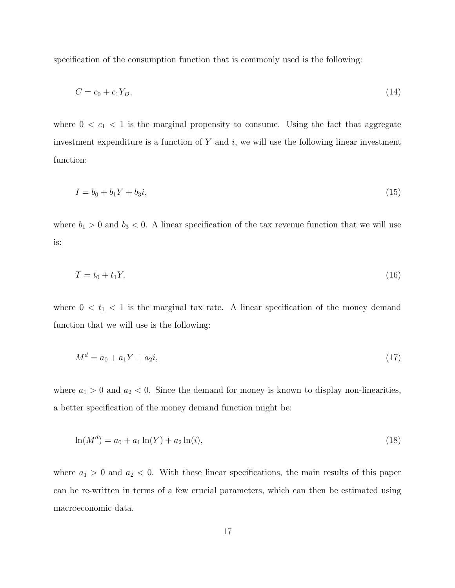specification of the consumption function that is commonly used is the following:

$$
C = c_0 + c_1 Y_D,\tag{14}
$$

where  $0 < c_1 < 1$  is the marginal propensity to consume. Using the fact that aggregate investment expenditure is a function of  $Y$  and  $i$ , we will use the following linear investment function:

$$
I = b_0 + b_1 Y + b_3 i,\tag{15}
$$

where  $b_1 > 0$  and  $b_3 < 0$ . A linear specification of the tax revenue function that we will use is:

$$
T = t_0 + t_1 Y,\tag{16}
$$

where  $0 < t_1 < 1$  is the marginal tax rate. A linear specification of the money demand function that we will use is the following:

$$
M^d = a_0 + a_1 Y + a_2 i,\tag{17}
$$

where  $a_1 > 0$  and  $a_2 < 0$ . Since the demand for money is known to display non-linearities, a better specification of the money demand function might be:

$$
\ln(M^d) = a_0 + a_1 \ln(Y) + a_2 \ln(i),\tag{18}
$$

where  $a_1 > 0$  and  $a_2 < 0$ . With these linear specifications, the main results of this paper can be re-written in terms of a few crucial parameters, which can then be estimated using macroeconomic data.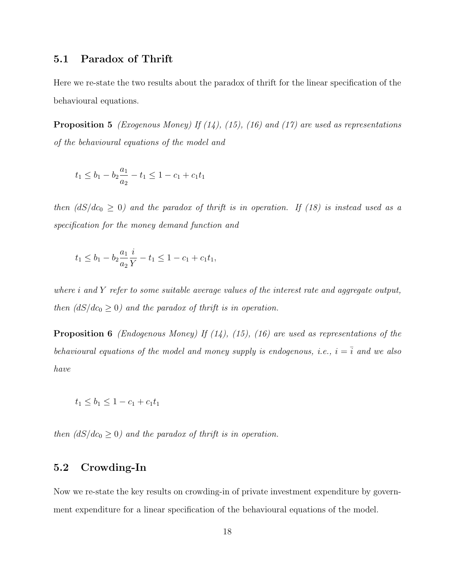## 5.1 Paradox of Thrift

Here we re-state the two results about the paradox of thrift for the linear specification of the behavioural equations.

**Proposition 5** (Exogenous Money) If  $(14)$ ,  $(15)$ ,  $(16)$  and  $(17)$  are used as representations of the behavioural equations of the model and

$$
t_1 \le b_1 - b_2 \frac{a_1}{a_2} - t_1 \le 1 - c_1 + c_1 t_1
$$

then  $\left(\frac{dS}{dc_0} \geq 0\right)$  and the paradox of thrift is in operation. If (18) is instead used as a specification for the money demand function and

$$
t_1 \le b_1 - b_2 \frac{a_1}{a_2} \frac{i}{Y} - t_1 \le 1 - c_1 + c_1 t_1,
$$

where *i* and Y refer to some suitable average values of the interest rate and aggregate output, then  $\left( dS/dc_0 \geq 0 \right)$  and the paradox of thrift is in operation.

**Proposition 6** (Endogenous Money) If  $(14)$ ,  $(15)$ ,  $(16)$  are used as representations of the behavioural equations of the model and money supply is endogenous, i.e.,  $i = \overline{i}$  and we also have

$$
t_1 \le b_1 \le 1 - c_1 + c_1 t_1
$$

then  $\left(\frac{dS}{dc_0} \geq 0\right)$  and the paradox of thrift is in operation.

## 5.2 Crowding-In

Now we re-state the key results on crowding-in of private investment expenditure by government expenditure for a linear specification of the behavioural equations of the model.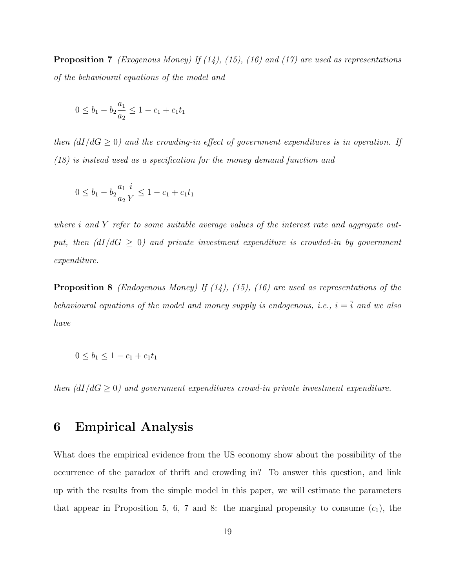**Proposition 7** (Exogenous Money) If  $(14)$ ,  $(15)$ ,  $(16)$  and  $(17)$  are used as representations of the behavioural equations of the model and

$$
0 \le b_1 - b_2 \frac{a_1}{a_2} \le 1 - c_1 + c_1 t_1
$$

then  $\left(\frac{dI}{dG} \geq 0\right)$  and the crowding-in effect of government expenditures is in operation. If (18) is instead used as a specification for the money demand function and

$$
0 \le b_1 - b_2 \frac{a_1}{a_2} \frac{i}{Y} \le 1 - c_1 + c_1 t_1
$$

where i and Y refer to some suitable average values of the interest rate and aggregate output, then  $\left(\frac{dI}{dG} \geq 0\right)$  and private investment expenditure is crowded-in by government expenditure.

**Proposition 8** (Endogenous Money) If  $(14)$ ,  $(15)$ ,  $(16)$  are used as representations of the behavioural equations of the model and money supply is endogenous, i.e.,  $i = \overline{i}$  and we also have

$$
0 \le b_1 \le 1 - c_1 + c_1 t_1
$$

then  $(dI/dG \geq 0)$  and government expenditures crowd-in private investment expenditure.

## 6 Empirical Analysis

What does the empirical evidence from the US economy show about the possibility of the occurrence of the paradox of thrift and crowding in? To answer this question, and link up with the results from the simple model in this paper, we will estimate the parameters that appear in Proposition 5, 6, 7 and 8: the marginal propensity to consume  $(c_1)$ , the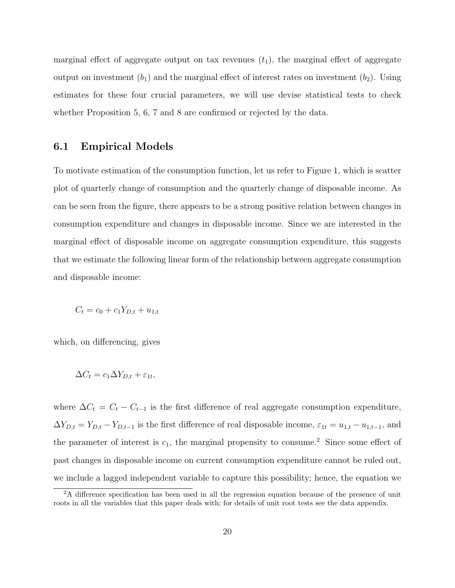marginal effect of aggregate output on tax revenues  $(t_1)$ , the marginal effect of aggregate output on investment  $(b_1)$  and the marginal effect of interest rates on investment  $(b_2)$ . Using estimates for these four crucial parameters, we will use devise statistical tests to check whether Proposition 5, 6, 7 and 8 are confirmed or rejected by the data.

#### 6.1 Empirical Models

To motivate estimation of the consumption function, let us refer to Figure 1, which is scatter plot of quarterly change of consumption and the quarterly change of disposable income. As can be seen from the figure, there appears to be a strong positive relation between changes in consumption expenditure and changes in disposable income. Since we are interested in the marginal effect of disposable income on aggregate consumption expenditure, this suggests that we estimate the following linear form of the relationship between aggregate consumption and disposable income:

$$
C_t = c_0 + c_1 Y_{D,t} + u_{1,t}
$$

which, on differencing, gives

$$
\Delta C_t = c_1 \Delta Y_{D,t} + \varepsilon_{1t},
$$

where  $\Delta C_t = C_t - C_{t-1}$  is the first difference of real aggregate consumption expenditure,  $\Delta Y_{D,t} = Y_{D,t} - Y_{D,t-1}$  is the first difference of real disposable income,  $\varepsilon_{1t} = u_{1,t} - u_{1,t-1}$ , and the parameter of interest is  $c_1$ , the marginal propensity to consume.<sup>2</sup> Since some effect of past changes in disposable income on current consumption expenditure cannot be ruled out, we include a lagged independent variable to capture this possibility; hence, the equation we

<sup>&</sup>lt;sup>2</sup>A difference specification has been used in all the regression equation because of the presence of unit roots in all the variables that this paper deals with; for details of unit root tests see the data appendix.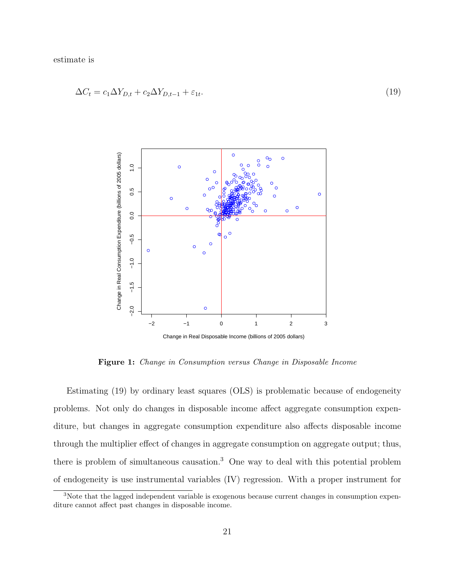estimate is

$$
\Delta C_t = c_1 \Delta Y_{D,t} + c_2 \Delta Y_{D,t-1} + \varepsilon_{1t}.\tag{19}
$$



Figure 1: Change in Consumption versus Change in Disposable Income

Estimating (19) by ordinary least squares (OLS) is problematic because of endogeneity problems. Not only do changes in disposable income affect aggregate consumption expenditure, but changes in aggregate consumption expenditure also affects disposable income through the multiplier effect of changes in aggregate consumption on aggregate output; thus, there is problem of simultaneous causation.<sup>3</sup> One way to deal with this potential problem of endogeneity is use instrumental variables (IV) regression. With a proper instrument for

<sup>&</sup>lt;sup>3</sup>Note that the lagged independent variable is exogenous because current changes in consumption expenditure cannot affect past changes in disposable income.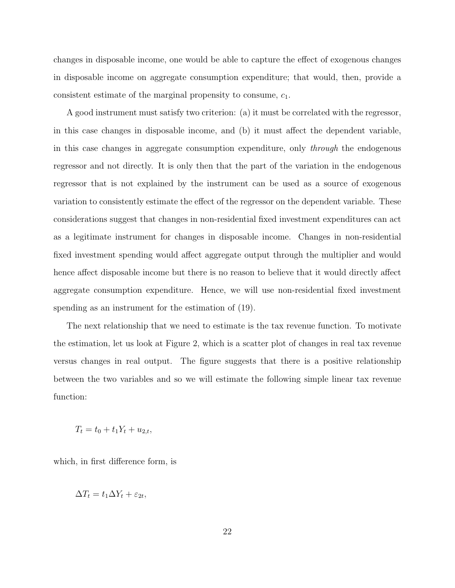changes in disposable income, one would be able to capture the effect of exogenous changes in disposable income on aggregate consumption expenditure; that would, then, provide a consistent estimate of the marginal propensity to consume,  $c_1$ .

A good instrument must satisfy two criterion: (a) it must be correlated with the regressor, in this case changes in disposable income, and (b) it must affect the dependent variable, in this case changes in aggregate consumption expenditure, only through the endogenous regressor and not directly. It is only then that the part of the variation in the endogenous regressor that is not explained by the instrument can be used as a source of exogenous variation to consistently estimate the effect of the regressor on the dependent variable. These considerations suggest that changes in non-residential fixed investment expenditures can act as a legitimate instrument for changes in disposable income. Changes in non-residential fixed investment spending would affect aggregate output through the multiplier and would hence affect disposable income but there is no reason to believe that it would directly affect aggregate consumption expenditure. Hence, we will use non-residential fixed investment spending as an instrument for the estimation of (19).

The next relationship that we need to estimate is the tax revenue function. To motivate the estimation, let us look at Figure 2, which is a scatter plot of changes in real tax revenue versus changes in real output. The figure suggests that there is a positive relationship between the two variables and so we will estimate the following simple linear tax revenue function:

 $T_t = t_0 + t_1 Y_t + u_{2,t}$ 

which, in first difference form, is

$$
\Delta T_t = t_1 \Delta Y_t + \varepsilon_{2t},
$$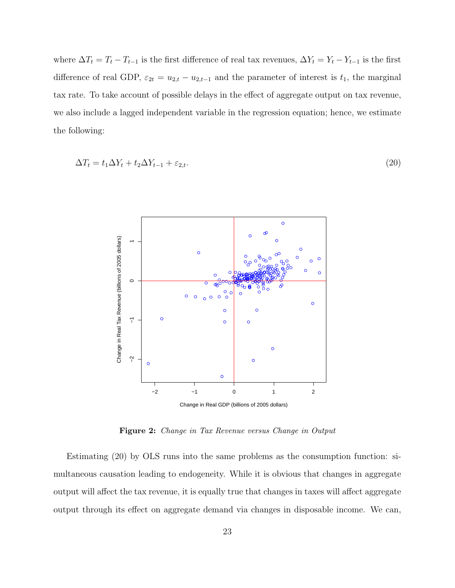where  $\Delta T_t = T_t - T_{t-1}$  is the first difference of real tax revenues,  $\Delta Y_t = Y_t - Y_{t-1}$  is the first difference of real GDP,  $\varepsilon_{2t} = u_{2,t} - u_{2,t-1}$  and the parameter of interest is  $t_1$ , the marginal tax rate. To take account of possible delays in the effect of aggregate output on tax revenue, we also include a lagged independent variable in the regression equation; hence, we estimate the following:

$$
\Delta T_t = t_1 \Delta Y_t + t_2 \Delta Y_{t-1} + \varepsilon_{2,t}.\tag{20}
$$



Figure 2: Change in Tax Revenue versus Change in Output

Estimating (20) by OLS runs into the same problems as the consumption function: simultaneous causation leading to endogeneity. While it is obvious that changes in aggregate output will affect the tax revenue, it is equally true that changes in taxes will affect aggregate output through its effect on aggregate demand via changes in disposable income. We can,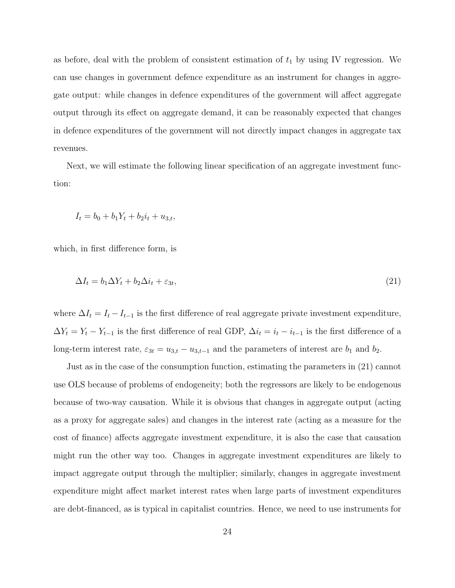as before, deal with the problem of consistent estimation of  $t_1$  by using IV regression. We can use changes in government defence expenditure as an instrument for changes in aggregate output: while changes in defence expenditures of the government will affect aggregate output through its effect on aggregate demand, it can be reasonably expected that changes in defence expenditures of the government will not directly impact changes in aggregate tax revenues.

Next, we will estimate the following linear specification of an aggregate investment function:

$$
I_t = b_0 + b_1 Y_t + b_2 i_t + u_{3,t},
$$

which, in first difference form, is

$$
\Delta I_t = b_1 \Delta Y_t + b_2 \Delta i_t + \varepsilon_{3t},\tag{21}
$$

where  $\Delta I_t = I_t - I_{t-1}$  is the first difference of real aggregate private investment expenditure,  $\Delta Y_t = Y_t - Y_{t-1}$  is the first difference of real GDP,  $\Delta i_t = i_t - i_{t-1}$  is the first difference of a long-term interest rate,  $\varepsilon_{3t} = u_{3,t} - u_{3,t-1}$  and the parameters of interest are  $b_1$  and  $b_2$ .

Just as in the case of the consumption function, estimating the parameters in (21) cannot use OLS because of problems of endogeneity; both the regressors are likely to be endogenous because of two-way causation. While it is obvious that changes in aggregate output (acting as a proxy for aggregate sales) and changes in the interest rate (acting as a measure for the cost of finance) affects aggregate investment expenditure, it is also the case that causation might run the other way too. Changes in aggregate investment expenditures are likely to impact aggregate output through the multiplier; similarly, changes in aggregate investment expenditure might affect market interest rates when large parts of investment expenditures are debt-financed, as is typical in capitalist countries. Hence, we need to use instruments for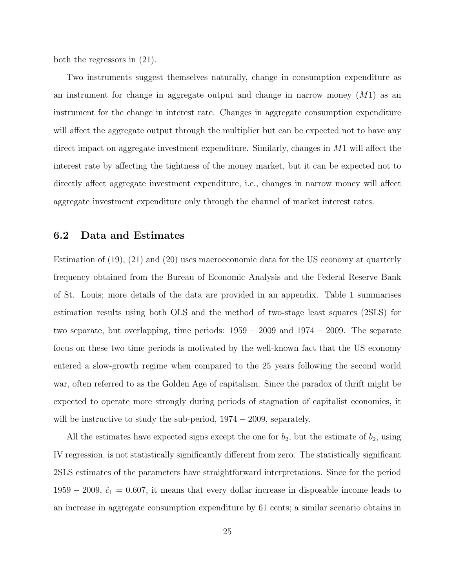both the regressors in (21).

Two instruments suggest themselves naturally, change in consumption expenditure as an instrument for change in aggregate output and change in narrow money  $(M1)$  as an instrument for the change in interest rate. Changes in aggregate consumption expenditure will affect the aggregate output through the multiplier but can be expected not to have any direct impact on aggregate investment expenditure. Similarly, changes in M1 will affect the interest rate by affecting the tightness of the money market, but it can be expected not to directly affect aggregate investment expenditure, i.e., changes in narrow money will affect aggregate investment expenditure only through the channel of market interest rates.

#### 6.2 Data and Estimates

Estimation of (19), (21) and (20) uses macroeconomic data for the US economy at quarterly frequency obtained from the Bureau of Economic Analysis and the Federal Reserve Bank of St. Louis; more details of the data are provided in an appendix. Table 1 summarises estimation results using both OLS and the method of two-stage least squares (2SLS) for two separate, but overlapping, time periods: 1959 − 2009 and 1974 − 2009. The separate focus on these two time periods is motivated by the well-known fact that the US economy entered a slow-growth regime when compared to the 25 years following the second world war, often referred to as the Golden Age of capitalism. Since the paradox of thrift might be expected to operate more strongly during periods of stagnation of capitalist economies, it will be instructive to study the sub-period,  $1974 - 2009$ , separately.

All the estimates have expected signs except the one for  $b_2$ , but the estimate of  $b_2$ , using IV regression, is not statistically significantly different from zero. The statistically significant 2SLS estimates of the parameters have straightforward interpretations. Since for the period 1959 − 2009,  $\hat{c}_1 = 0.607$ , it means that every dollar increase in disposable income leads to an increase in aggregate consumption expenditure by 61 cents; a similar scenario obtains in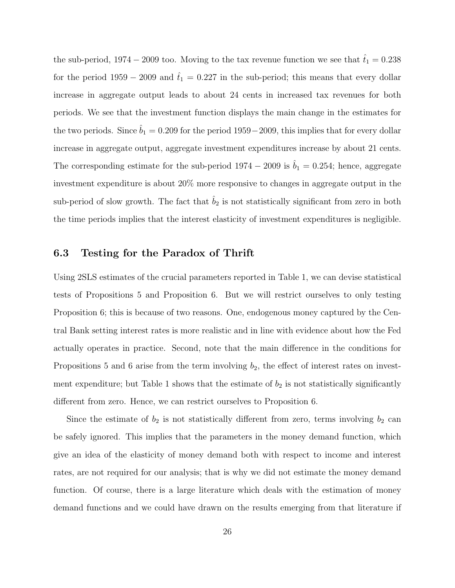the sub-period, 1974 – 2009 too. Moving to the tax revenue function we see that  $\hat{t}_1 = 0.238$ for the period  $1959 - 2009$  and  $\hat{t}_1 = 0.227$  in the sub-period; this means that every dollar increase in aggregate output leads to about 24 cents in increased tax revenues for both periods. We see that the investment function displays the main change in the estimates for the two periods. Since  $b_1 = 0.209$  for the period 1959−2009, this implies that for every dollar increase in aggregate output, aggregate investment expenditures increase by about 21 cents. The corresponding estimate for the sub-period  $1974 - 2009$  is  $\hat{b}_1 = 0.254$ ; hence, aggregate investment expenditure is about 20% more responsive to changes in aggregate output in the sub-period of slow growth. The fact that  $\hat{b}_2$  is not statistically significant from zero in both the time periods implies that the interest elasticity of investment expenditures is negligible.

#### 6.3 Testing for the Paradox of Thrift

Using 2SLS estimates of the crucial parameters reported in Table 1, we can devise statistical tests of Propositions 5 and Proposition 6. But we will restrict ourselves to only testing Proposition 6; this is because of two reasons. One, endogenous money captured by the Central Bank setting interest rates is more realistic and in line with evidence about how the Fed actually operates in practice. Second, note that the main difference in the conditions for Propositions 5 and 6 arise from the term involving  $b_2$ , the effect of interest rates on investment expenditure; but Table 1 shows that the estimate of  $b_2$  is not statistically significantly different from zero. Hence, we can restrict ourselves to Proposition 6.

Since the estimate of  $b_2$  is not statistically different from zero, terms involving  $b_2$  can be safely ignored. This implies that the parameters in the money demand function, which give an idea of the elasticity of money demand both with respect to income and interest rates, are not required for our analysis; that is why we did not estimate the money demand function. Of course, there is a large literature which deals with the estimation of money demand functions and we could have drawn on the results emerging from that literature if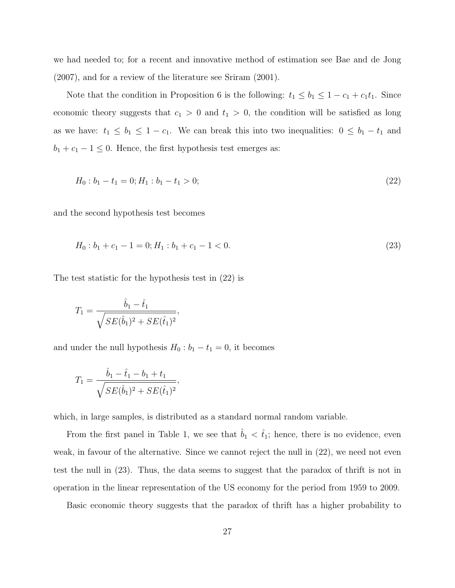we had needed to; for a recent and innovative method of estimation see Bae and de Jong (2007), and for a review of the literature see Sriram (2001).

Note that the condition in Proposition 6 is the following:  $t_1 \leq b_1 \leq 1 - c_1 + c_1t_1$ . Since economic theory suggests that  $c_1 > 0$  and  $t_1 > 0$ , the condition will be satisfied as long as we have:  $t_1 \leq b_1 \leq 1 - c_1$ . We can break this into two inequalities:  $0 \leq b_1 - t_1$  and  $b_1 + c_1 - 1 \leq 0$ . Hence, the first hypothesis test emerges as:

$$
H_0: b_1 - t_1 = 0; H_1: b_1 - t_1 > 0;
$$
\n<sup>(22)</sup>

and the second hypothesis test becomes

$$
H_0: b_1 + c_1 - 1 = 0; H_1: b_1 + c_1 - 1 < 0. \tag{23}
$$

The test statistic for the hypothesis test in (22) is

$$
T_1 = \frac{\hat{b}_1 - \hat{t}_1}{\sqrt{SE(\hat{b}_1)^2 + SE(\hat{t}_1)^2}},
$$

and under the null hypothesis  $H_0 : b_1 - t_1 = 0$ , it becomes

$$
T_1 = \frac{\hat{b}_1 - \hat{t}_1 - b_1 + t_1}{\sqrt{SE(\hat{b}_1)^2 + SE(\hat{t}_1)^2}},
$$

which, in large samples, is distributed as a standard normal random variable.

From the first panel in Table 1, we see that  $\hat{b}_1 < \hat{t}_1$ ; hence, there is no evidence, even weak, in favour of the alternative. Since we cannot reject the null in  $(22)$ , we need not even test the null in (23). Thus, the data seems to suggest that the paradox of thrift is not in operation in the linear representation of the US economy for the period from 1959 to 2009.

Basic economic theory suggests that the paradox of thrift has a higher probability to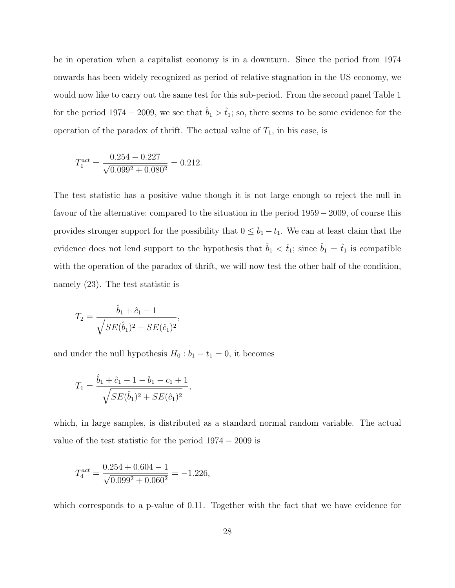be in operation when a capitalist economy is in a downturn. Since the period from 1974 onwards has been widely recognized as period of relative stagnation in the US economy, we would now like to carry out the same test for this sub-period. From the second panel Table 1 for the period 1974 – 2009, we see that  $\hat{b}_1 > \hat{t}_1$ ; so, there seems to be some evidence for the operation of the paradox of thrift. The actual value of  $T_1$ , in his case, is

$$
T_1^{act} = \frac{0.254 - 0.227}{\sqrt{0.099^2 + 0.080^2}} = 0.212.
$$

The test statistic has a positive value though it is not large enough to reject the null in favour of the alternative; compared to the situation in the period 1959 − 2009, of course this provides stronger support for the possibility that  $0 \leq b_1 - t_1$ . We can at least claim that the evidence does not lend support to the hypothesis that  $\hat{b}_1 < \hat{t}_1$ ; since  $\hat{b}_1 = \hat{t}_1$  is compatible with the operation of the paradox of thrift, we will now test the other half of the condition, namely (23). The test statistic is

$$
T_2 = \frac{\hat{b}_1 + \hat{c}_1 - 1}{\sqrt{SE(\hat{b}_1)^2 + SE(\hat{c}_1)^2}},
$$

and under the null hypothesis  $H_0 : b_1 - t_1 = 0$ , it becomes

$$
T_1 = \frac{\hat{b}_1 + \hat{c}_1 - 1 - b_1 - c_1 + 1}{\sqrt{SE(\hat{b}_1)^2 + SE(\hat{c}_1)^2}},
$$

which, in large samples, is distributed as a standard normal random variable. The actual value of the test statistic for the period  $1974 - 2009$  is

$$
T_4^{act} = \frac{0.254 + 0.604 - 1}{\sqrt{0.099^2 + 0.060^2}} = -1.226,
$$

which corresponds to a p-value of 0.11. Together with the fact that we have evidence for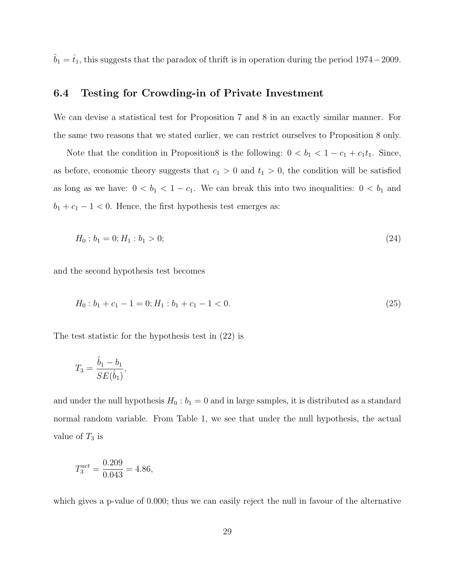$\hat{b}_1 = \hat{t}_1$ , this suggests that the paradox of thrift is in operation during the period 1974−2009.

## 6.4 Testing for Crowding-in of Private Investment

We can devise a statistical test for Proposition 7 and 8 in an exactly similar manner. For the same two reasons that we stated earlier, we can restrict ourselves to Proposition 8 only.

Note that the condition in Proposition8 is the following:  $0 < b_1 < 1 - c_1 + c_1t_1$ . Since, as before, economic theory suggests that  $c_1 > 0$  and  $t_1 > 0$ , the condition will be satisfied as long as we have:  $0 < b_1 < 1 - c_1$ . We can break this into two inequalities:  $0 < b_1$  and  $b_1 + c_1 - 1 < 0$ . Hence, the first hypothesis test emerges as:

$$
H_0: b_1 = 0; H_1: b_1 > 0; \tag{24}
$$

and the second hypothesis test becomes

$$
H_0: b_1 + c_1 - 1 = 0; H_1: b_1 + c_1 - 1 < 0. \tag{25}
$$

The test statistic for the hypothesis test in (22) is

$$
T_3 = \frac{\hat{b}_1 - b_1}{SE(\hat{b}_1)},
$$

and under the null hypothesis  $H_0$ :  $b_1 = 0$  and in large samples, it is distributed as a standard normal random variable. From Table 1, we see that under the null hypothesis, the actual value of  $T_3$  is

$$
T_3^{act} = \frac{0.209}{0.043} = 4.86,
$$

which gives a p-value of 0.000; thus we can easily reject the null in favour of the alternative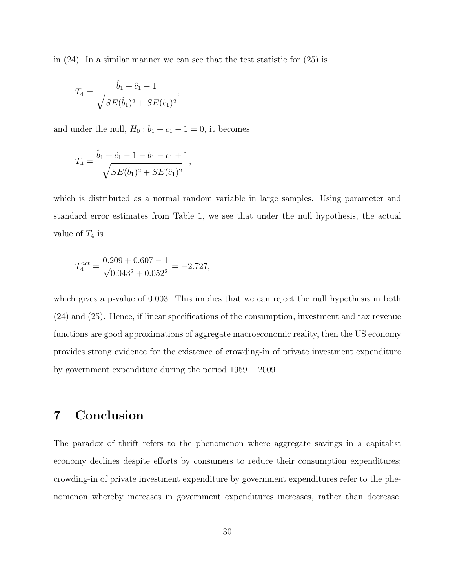in  $(24)$ . In a similar manner we can see that the test statistic for  $(25)$  is

$$
T_4 = \frac{\hat{b}_1 + \hat{c}_1 - 1}{\sqrt{SE(\hat{b}_1)^2 + SE(\hat{c}_1)^2}},
$$

and under the null,  $H_0: b_1 + c_1 - 1 = 0$ , it becomes

$$
T_4 = \frac{\hat{b}_1 + \hat{c}_1 - 1 - b_1 - c_1 + 1}{\sqrt{SE(\hat{b}_1)^2 + SE(\hat{c}_1)^2}},
$$

which is distributed as a normal random variable in large samples. Using parameter and standard error estimates from Table 1, we see that under the null hypothesis, the actual value of  $T_4$  is

$$
T_4^{act} = \frac{0.209 + 0.607 - 1}{\sqrt{0.043^2 + 0.052^2}} = -2.727,
$$

which gives a p-value of 0.003. This implies that we can reject the null hypothesis in both (24) and (25). Hence, if linear specifications of the consumption, investment and tax revenue functions are good approximations of aggregate macroeconomic reality, then the US economy provides strong evidence for the existence of crowding-in of private investment expenditure by government expenditure during the period 1959 − 2009.

## 7 Conclusion

The paradox of thrift refers to the phenomenon where aggregate savings in a capitalist economy declines despite efforts by consumers to reduce their consumption expenditures; crowding-in of private investment expenditure by government expenditures refer to the phenomenon whereby increases in government expenditures increases, rather than decrease,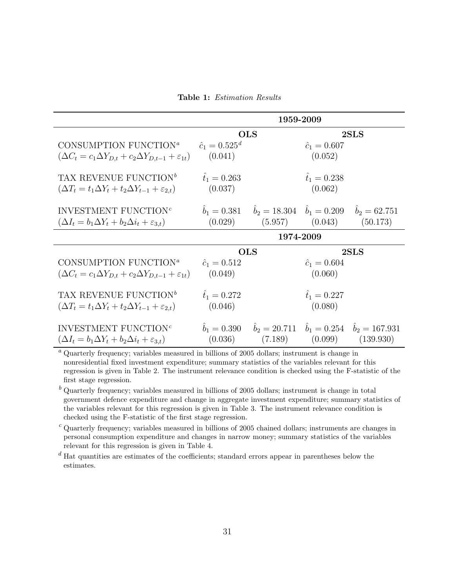Table 1: Estimation Results

|                                                                                                                                          | 1959-2009                      |                                                                                                                     |                                |          |
|------------------------------------------------------------------------------------------------------------------------------------------|--------------------------------|---------------------------------------------------------------------------------------------------------------------|--------------------------------|----------|
|                                                                                                                                          | <b>OLS</b>                     |                                                                                                                     | 2SLS                           |          |
| CONSUMPTION FUNCTION <sup>a</sup> $\hat{c}_1 = 0.525^d$<br>$(\Delta C_t = c_1 \Delta Y_{D,t} + c_2 \Delta Y_{D,t-1} + \varepsilon_{1t})$ | (0.041)                        |                                                                                                                     | $\hat{c}_1 = 0.607$<br>(0.052) |          |
| TAX REVENUE FUNCTION <sup>b</sup><br>$(\Delta T_t = t_1 \Delta Y_t + t_2 \Delta Y_{t-1} + \varepsilon_{2,t})$                            | $\hat{t}_1 = 0.263$<br>(0.037) |                                                                                                                     | $\hat{t}_1 = 0.238$<br>(0.062) |          |
| INVESTMENT FUNCTION <sup>c</sup><br>$(\Delta I_t = b_1 \Delta Y_t + b_2 \Delta i_t + \varepsilon_{3,t})$                                 |                                | $\hat{b}_1 = 0.381$ $\hat{b}_2 = 18.304$ $\hat{b}_1 = 0.209$ $\hat{b}_2 = 62.751$<br>$(0.029)$ $(5.957)$ $(0.043)$  |                                | (50.173) |
|                                                                                                                                          | 1974-2009                      |                                                                                                                     |                                |          |
|                                                                                                                                          | <b>OLS</b>                     |                                                                                                                     | 2SLS                           |          |
| CONSUMPTION FUNCTION <sup>a</sup><br>$(\Delta C_t = c_1 \Delta Y_{D,t} + c_2 \Delta Y_{D,t-1} + \varepsilon_{1t})$                       | $\hat{c}_1 = 0.512$<br>(0.049) |                                                                                                                     | $\hat{c}_1 = 0.604$<br>(0.060) |          |
| TAX REVENUE FUNCTION <sup>b</sup><br>$(\Delta T_t = t_1 \Delta Y_t + t_2 \Delta Y_{t-1} + \varepsilon_{2,t})$                            | $\hat{t}_1 = 0.272$<br>(0.046) |                                                                                                                     | $\hat{t}_1 = 0.227$<br>(0.080) |          |
| INVESTMENT FUNCTION <sup>c</sup><br>$(\Delta I_t = b_1 \Delta Y_t + b_2 \Delta i_t + \varepsilon_{3,t})$                                 | $b_1 = 0.390$                  | $\hat{b}_2 = 20.711 \quad \hat{b}_1 = 0.254 \quad \hat{b}_2 = 167.931$<br>$(0.036)$ $(7.189)$ $(0.099)$ $(139.930)$ |                                |          |

 $a$  Quarterly frequency; variables measured in billions of 2005 dollars; instrument is change in nonresidential fixed investment expenditure; summary statistics of the variables relevant for this regression is given in Table 2. The instrument relevance condition is checked using the F-statistic of the first stage regression.

 $<sup>b</sup>$  Quarterly frequency; variables measured in billions of 2005 dollars; instrument is change in total</sup> government defence expenditure and change in aggregate investment expenditure; summary statistics of the variables relevant for this regression is given in Table 3. The instrument relevance condition is checked using the F-statistic of the first stage regression.

 $c$  Quarterly frequency; variables measured in billions of 2005 chained dollars; instruments are changes in personal consumption expenditure and changes in narrow money; summary statistics of the variables relevant for this regression is given in Table 4.

 $d$  Hat quantities are estimates of the coefficients; standard errors appear in parentheses below the estimates.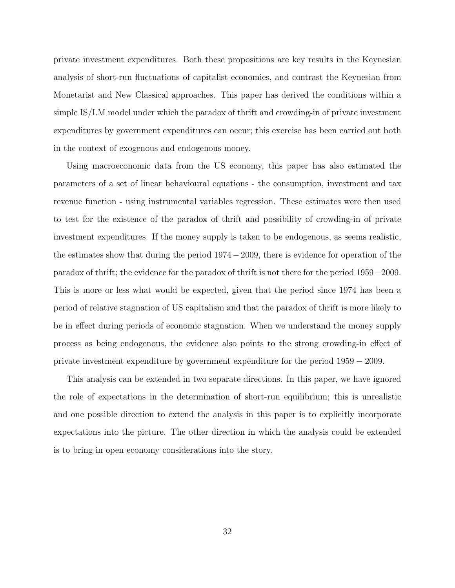private investment expenditures. Both these propositions are key results in the Keynesian analysis of short-run fluctuations of capitalist economies, and contrast the Keynesian from Monetarist and New Classical approaches. This paper has derived the conditions within a simple IS/LM model under which the paradox of thrift and crowding-in of private investment expenditures by government expenditures can occur; this exercise has been carried out both in the context of exogenous and endogenous money.

Using macroeconomic data from the US economy, this paper has also estimated the parameters of a set of linear behavioural equations - the consumption, investment and tax revenue function - using instrumental variables regression. These estimates were then used to test for the existence of the paradox of thrift and possibility of crowding-in of private investment expenditures. If the money supply is taken to be endogenous, as seems realistic, the estimates show that during the period 1974−2009, there is evidence for operation of the paradox of thrift; the evidence for the paradox of thrift is not there for the period 1959−2009. This is more or less what would be expected, given that the period since 1974 has been a period of relative stagnation of US capitalism and that the paradox of thrift is more likely to be in effect during periods of economic stagnation. When we understand the money supply process as being endogenous, the evidence also points to the strong crowding-in effect of private investment expenditure by government expenditure for the period 1959 − 2009.

This analysis can be extended in two separate directions. In this paper, we have ignored the role of expectations in the determination of short-run equilibrium; this is unrealistic and one possible direction to extend the analysis in this paper is to explicitly incorporate expectations into the picture. The other direction in which the analysis could be extended is to bring in open economy considerations into the story.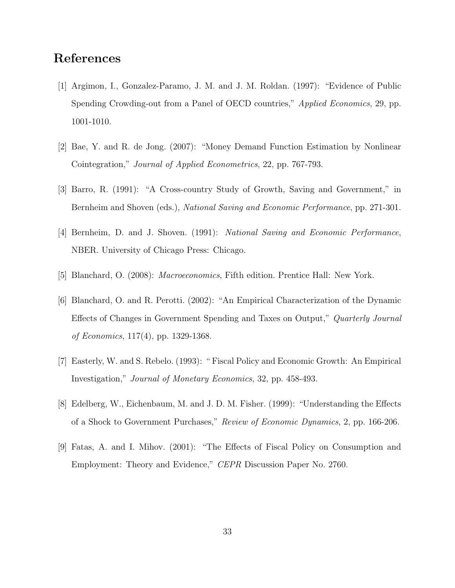## References

- [1] Argimon, I., Gonzalez-Paramo, J. M. and J. M. Roldan. (1997): "Evidence of Public Spending Crowding-out from a Panel of OECD countries," *Applied Economics*, 29, pp. 1001-1010.
- [2] Bae, Y. and R. de Jong. (2007): "Money Demand Function Estimation by Nonlinear Cointegration," Journal of Applied Econometrics, 22, pp. 767-793.
- [3] Barro, R. (1991): "A Cross-country Study of Growth, Saving and Government," in Bernheim and Shoven (eds.), National Saving and Economic Performance, pp. 271-301.
- [4] Bernheim, D. and J. Shoven. (1991): National Saving and Economic Performance, NBER. University of Chicago Press: Chicago.
- [5] Blanchard, O. (2008): Macroeconomics, Fifth edition. Prentice Hall: New York.
- [6] Blanchard, O. and R. Perotti. (2002): "An Empirical Characterization of the Dynamic Effects of Changes in Government Spending and Taxes on Output," Quarterly Journal of Economics, 117(4), pp. 1329-1368.
- [7] Easterly, W. and S. Rebelo. (1993): " Fiscal Policy and Economic Growth: An Empirical Investigation," Journal of Monetary Economics, 32, pp. 458-493.
- [8] Edelberg, W., Eichenbaum, M. and J. D. M. Fisher. (1999): "Understanding the Effects of a Shock to Government Purchases," Review of Economic Dynamics, 2, pp. 166-206.
- [9] Fatas, A. and I. Mihov. (2001): "The Effects of Fiscal Policy on Consumption and Employment: Theory and Evidence," CEPR Discussion Paper No. 2760.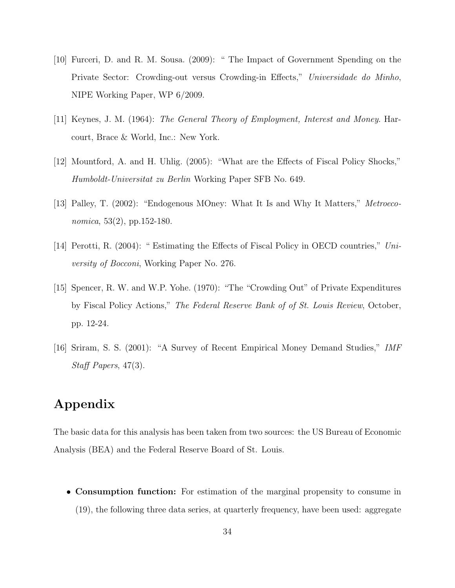- [10] Furceri, D. and R. M. Sousa. (2009): " The Impact of Government Spending on the Private Sector: Crowding-out versus Crowding-in Effects," Universidade do Minho, NIPE Working Paper, WP 6/2009.
- [11] Keynes, J. M. (1964): The General Theory of Employment, Interest and Money. Harcourt, Brace & World, Inc.: New York.
- [12] Mountford, A. and H. Uhlig. (2005): "What are the Effects of Fiscal Policy Shocks," Humboldt-Universitat zu Berlin Working Paper SFB No. 649.
- [13] Palley, T. (2002): "Endogenous MOney: What It Is and Why It Matters," Metroeconomica, 53(2), pp.152-180.
- [14] Perotti, R. (2004): " Estimating the Effects of Fiscal Policy in OECD countries," University of Bocconi, Working Paper No. 276.
- [15] Spencer, R. W. and W.P. Yohe. (1970): "The "Crowding Out" of Private Expenditures by Fiscal Policy Actions," The Federal Reserve Bank of of St. Louis Review, October, pp. 12-24.
- [16] Sriram, S. S. (2001): "A Survey of Recent Empirical Money Demand Studies," IMF Staff Papers, 47(3).

## Appendix

The basic data for this analysis has been taken from two sources: the US Bureau of Economic Analysis (BEA) and the Federal Reserve Board of St. Louis.

• Consumption function: For estimation of the marginal propensity to consume in (19), the following three data series, at quarterly frequency, have been used: aggregate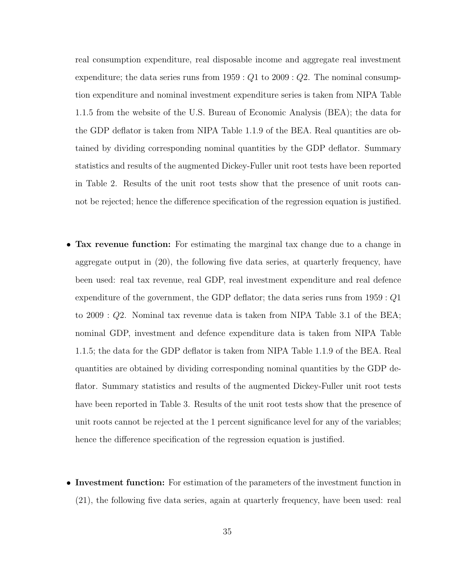real consumption expenditure, real disposable income and aggregate real investment expenditure; the data series runs from  $1959 : Q1$  to  $2009 : Q2$ . The nominal consumption expenditure and nominal investment expenditure series is taken from NIPA Table 1.1.5 from the website of the U.S. Bureau of Economic Analysis (BEA); the data for the GDP deflator is taken from NIPA Table 1.1.9 of the BEA. Real quantities are obtained by dividing corresponding nominal quantities by the GDP deflator. Summary statistics and results of the augmented Dickey-Fuller unit root tests have been reported in Table 2. Results of the unit root tests show that the presence of unit roots cannot be rejected; hence the difference specification of the regression equation is justified.

- Tax revenue function: For estimating the marginal tax change due to a change in aggregate output in (20), the following five data series, at quarterly frequency, have been used: real tax revenue, real GDP, real investment expenditure and real defence expenditure of the government, the GDP deflator; the data series runs from 1959 : Q1 to 2009 : Q2. Nominal tax revenue data is taken from NIPA Table 3.1 of the BEA; nominal GDP, investment and defence expenditure data is taken from NIPA Table 1.1.5; the data for the GDP deflator is taken from NIPA Table 1.1.9 of the BEA. Real quantities are obtained by dividing corresponding nominal quantities by the GDP deflator. Summary statistics and results of the augmented Dickey-Fuller unit root tests have been reported in Table 3. Results of the unit root tests show that the presence of unit roots cannot be rejected at the 1 percent significance level for any of the variables; hence the difference specification of the regression equation is justified.
- Investment function: For estimation of the parameters of the investment function in (21), the following five data series, again at quarterly frequency, have been used: real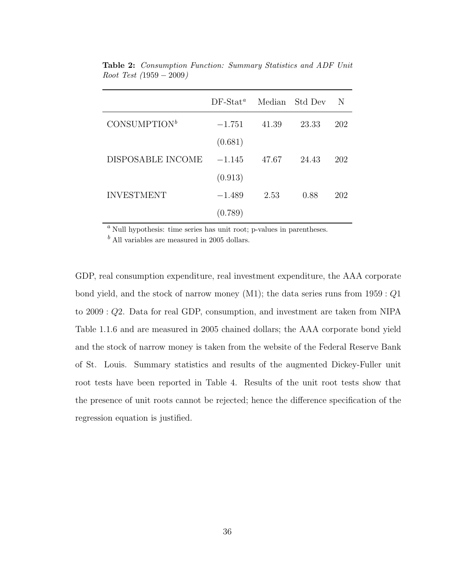|                          | $DF-Stat^a$ |       | Median Std Dev | N   |
|--------------------------|-------------|-------|----------------|-----|
| CONSUMPTION <sup>b</sup> | $-1.751$    | 41.39 | 23.33          | 202 |
|                          | (0.681)     |       |                |     |
| DISPOSABLE INCOME        | $-1.145$    | 47.67 | 24.43          | 202 |
|                          | (0.913)     |       |                |     |
| <b>INVESTMENT</b>        | $-1.489$    | 2.53  | 0.88           | 202 |
|                          | (0.789)     |       |                |     |

Table 2: Consumption Function: Summary Statistics and ADF Unit Root Test (1959 − 2009)

 $a$  Null hypothesis: time series has unit root; p-values in parentheses.

 $<sup>b</sup>$  All variables are measured in 2005 dollars.</sup>

GDP, real consumption expenditure, real investment expenditure, the AAA corporate bond yield, and the stock of narrow money  $(M1)$ ; the data series runs from  $1959:Q1$ to 2009 : Q2. Data for real GDP, consumption, and investment are taken from NIPA Table 1.1.6 and are measured in 2005 chained dollars; the AAA corporate bond yield and the stock of narrow money is taken from the website of the Federal Reserve Bank of St. Louis. Summary statistics and results of the augmented Dickey-Fuller unit root tests have been reported in Table 4. Results of the unit root tests show that the presence of unit roots cannot be rejected; hence the difference specification of the regression equation is justified.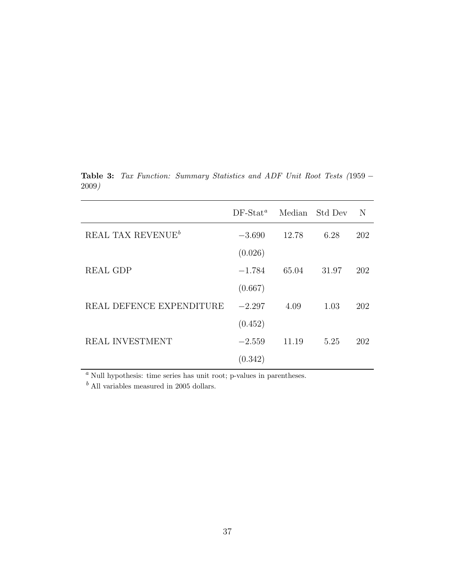|                               | $DF-Stat^a$ | Median | Std Dev | N   |
|-------------------------------|-------------|--------|---------|-----|
| REAL TAX REVENUE <sup>b</sup> | $-3.690$    | 12.78  | 6.28    | 202 |
|                               | (0.026)     |        |         |     |
| REAL GDP                      | $-1.784$    | 65.04  | 31.97   | 202 |
|                               | (0.667)     |        |         |     |
| REAL DEFENCE EXPENDITURE      | $-2.297$    | 4.09   | 1.03    | 202 |
|                               | (0.452)     |        |         |     |
| REAL INVESTMENT               | $-2.559$    | 11.19  | 5.25    | 202 |
|                               | (0.342)     |        |         |     |

Table 3: Tax Function: Summary Statistics and ADF Unit Root Tests (1959 − 2009)

 $a$  Null hypothesis: time series has unit root; p-values in parentheses.

 $<sup>b</sup>$  All variables measured in 2005 dollars.</sup>